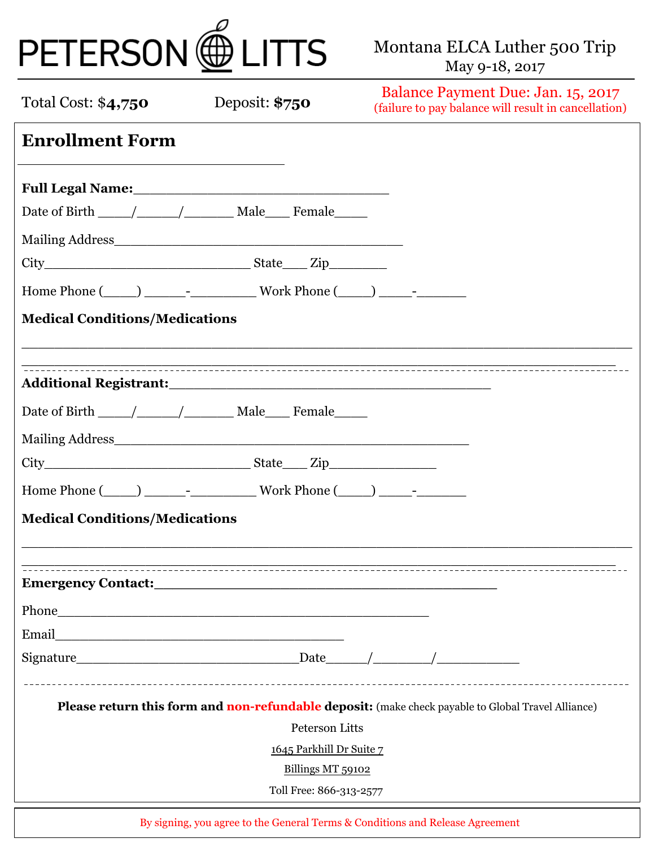| PETERSON @ LITTS                      |                                                                                                                                                                                                                                      | Montana ELCA Luther 500 Trip<br>May 9-18, 2017                                                     |
|---------------------------------------|--------------------------------------------------------------------------------------------------------------------------------------------------------------------------------------------------------------------------------------|----------------------------------------------------------------------------------------------------|
| Total Cost: \$4,750                   | Deposit: \$750                                                                                                                                                                                                                       | Balance Payment Due: Jan. 15, 2017<br>(failure to pay balance will result in cancellation)         |
| <b>Enrollment Form</b>                |                                                                                                                                                                                                                                      |                                                                                                    |
|                                       |                                                                                                                                                                                                                                      |                                                                                                    |
|                                       |                                                                                                                                                                                                                                      |                                                                                                    |
|                                       |                                                                                                                                                                                                                                      |                                                                                                    |
| <b>Medical Conditions/Medications</b> |                                                                                                                                                                                                                                      |                                                                                                    |
|                                       |                                                                                                                                                                                                                                      |                                                                                                    |
|                                       |                                                                                                                                                                                                                                      |                                                                                                    |
|                                       |                                                                                                                                                                                                                                      |                                                                                                    |
|                                       |                                                                                                                                                                                                                                      |                                                                                                    |
|                                       |                                                                                                                                                                                                                                      |                                                                                                    |
|                                       | Home Phone ( ) - Work Phone ( ) -                                                                                                                                                                                                    |                                                                                                    |
| <b>Medical Conditions/Medications</b> |                                                                                                                                                                                                                                      |                                                                                                    |
|                                       |                                                                                                                                                                                                                                      |                                                                                                    |
|                                       | Emergency Contact: <u>and a series of the series of the series of the series of the series of the series of the series of the series of the series of the series of the series of the series of the series of the series of the </u> |                                                                                                    |
|                                       |                                                                                                                                                                                                                                      |                                                                                                    |
|                                       |                                                                                                                                                                                                                                      |                                                                                                    |
|                                       |                                                                                                                                                                                                                                      | $Sigma_{\text{square}}$ $\rightarrow$                                                              |
|                                       |                                                                                                                                                                                                                                      | Please return this form and non-refundable deposit: (make check payable to Global Travel Alliance) |
|                                       | Peterson Litts                                                                                                                                                                                                                       |                                                                                                    |
|                                       | 1645 Parkhill Dr Suite 7                                                                                                                                                                                                             |                                                                                                    |
|                                       | Billings MT 59102                                                                                                                                                                                                                    |                                                                                                    |
|                                       | Toll Free: 866-313-2577                                                                                                                                                                                                              |                                                                                                    |

By signing, you agree to the General Terms & Conditions and Release Agreement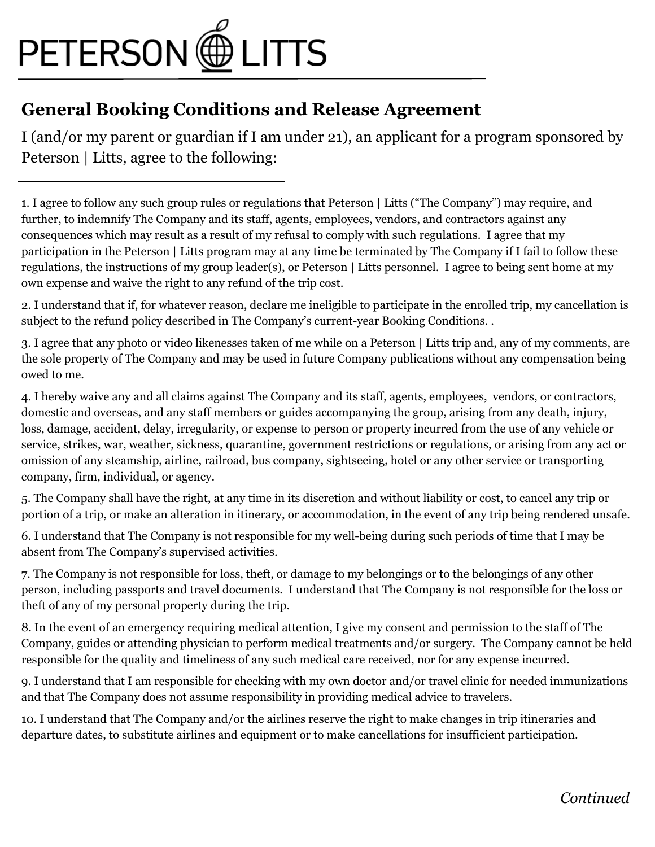

## General Booking Conditions and Release Agreement

I (and/or my parent or guardian if I am under 21), an applicant for a program sponsored by Peterson | Litts, agree to the following:

1. I agree to follow any such group rules or regulations that Peterson | Litts ("The Company") may require, and further, to indemnify The Company and its staff, agents, employees, vendors, and contractors against any consequences which may result as a result of my refusal to comply with such regulations. I agree that my participation in the Peterson | Litts program may at any time be terminated by The Company if I fail to follow these regulations, the instructions of my group leader(s), or Peterson | Litts personnel. I agree to being sent home at my own expense and waive the right to any refund of the trip cost.

2. I understand that if, for whatever reason, declare me ineligible to participate in the enrolled trip, my cancellation is subject to the refund policy described in The Company's current-year Booking Conditions. .

3. I agree that any photo or video likenesses taken of me while on a Peterson | Litts trip and, any of my comments, are the sole property of The Company and may be used in future Company publications without any compensation being owed to me.

4. I hereby waive any and all claims against The Company and its staff, agents, employees, vendors, or contractors, domestic and overseas, and any staff members or guides accompanying the group, arising from any death, injury, loss, damage, accident, delay, irregularity, or expense to person or property incurred from the use of any vehicle or service, strikes, war, weather, sickness, quarantine, government restrictions or regulations, or arising from any act or omission of any steamship, airline, railroad, bus company, sightseeing, hotel or any other service or transporting company, firm, individual, or agency.

5. The Company shall have the right, at any time in its discretion and without liability or cost, to cancel any trip or portion of a trip, or make an alteration in itinerary, or accommodation, in the event of any trip being rendered unsafe.

6. I understand that The Company is not responsible for my well-being during such periods of time that I may be absent from The Company's supervised activities.

7. The Company is not responsible for loss, theft, or damage to my belongings or to the belongings of any other person, including passports and travel documents. I understand that The Company is not responsible for the loss or theft of any of my personal property during the trip.

8. In the event of an emergency requiring medical attention, I give my consent and permission to the staff of The Company, guides or attending physician to perform medical treatments and/or surgery. The Company cannot be held responsible for the quality and timeliness of any such medical care received, nor for any expense incurred.

9. I understand that I am responsible for checking with my own doctor and/or travel clinic for needed immunizations and that The Company does not assume responsibility in providing medical advice to travelers.

10. I understand that The Company and/or the airlines reserve the right to make changes in trip itineraries and departure dates, to substitute airlines and equipment or to make cancellations for insufficient participation.